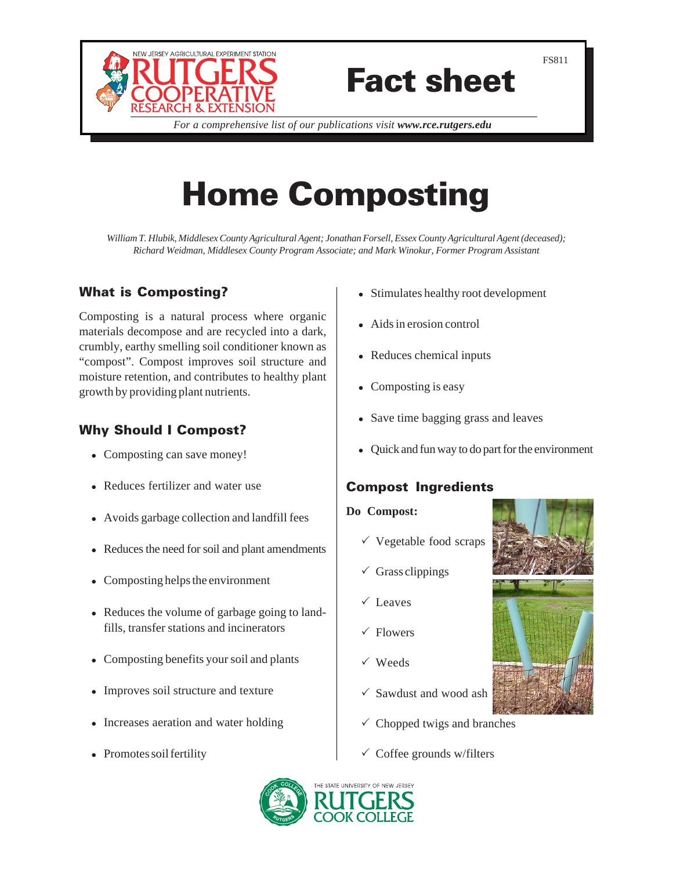

# Fact sheet

*For a comprehensive list of our publications visit www.rce.rutgers.edu*

# Home Composting

*William T. Hlubik, Middlesex County Agricultural Agent; Jonathan Forsell, Essex County Agricultural Agent (deceased); Richard Weidman, Middlesex County Program Associate; and Mark Winokur, Former Program Assistant*

## What is Composting?

Composting is a natural process where organic materials decompose and are recycled into a dark, crumbly, earthy smelling soil conditioner known as "compost". Compost improves soil structure and moisture retention, and contributes to healthy plant growth by providing plant nutrients.

# Why Should I Compost?

- Composting can save money!
- Reduces fertilizer and water use
- Avoids garbage collection and landfill fees
- Reduces the need for soil and plant amendments
- $\bullet$  Composting helps the environment
- Reduces the volume of garbage going to landfills, transfer stations and incinerators
- Composting benefits your soil and plants
- Improves soil structure and texture
- Increases aeration and water holding
- Promotes soil fertility
- Stimulates healthy root development
- Aids in erosion control
- Reduces chemical inputs
- Composting is easy
- Save time bagging grass and leaves
- Quick and fun way to do part for the environment

## Compost Ingredients

#### **Do Compost:**

- $\checkmark$  Vegetable food scraps
- $\checkmark$  Grass clippings
- $\checkmark$  Leaves
- $\checkmark$  Flowers
- $\sqrt{\text{Weds}}$
- $\checkmark$  Sawdust and wood ash
- $\checkmark$  Chopped twigs and branches
- $\checkmark$  Coffee grounds w/filters





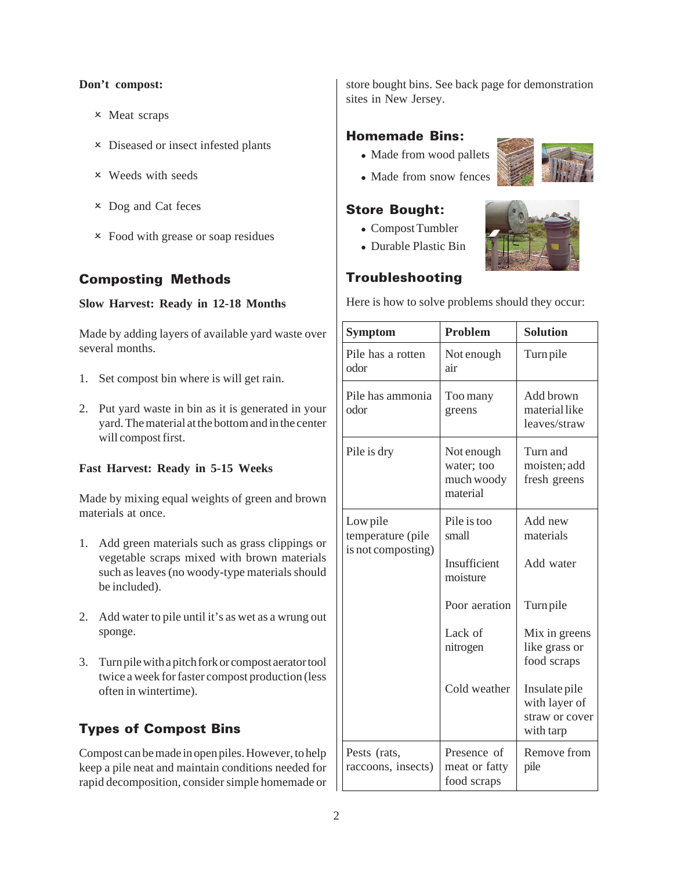#### **Don't compost:**

- 2 Meat scraps
- 2 Diseased or insect infested plants
- 2 Weeds with seeds
- 2 Dog and Cat feces
- 2 Food with grease or soap residues

### Composting Methods

#### **Slow Harvest: Ready in 12-18 Months**

Made by adding layers of available yard waste over several months.

- 1. Set compost bin where is will get rain.
- 2. Put yard waste in bin as it is generated in your yard. The material at the bottom and in the center will compost first.

#### **Fast Harvest: Ready in 5-15 Weeks**

Made by mixing equal weights of green and brown materials at once.

- 1. Add green materials such as grass clippings or vegetable scraps mixed with brown materials such as leaves (no woody-type materials should be included).
- 2. Add water to pile until it's as wet as a wrung out sponge.
- 3. Turn pile with a pitch fork or compost aerator tool twice a week for faster compost production (less often in wintertime).

# Types of Compost Bins

Compost can be made in open piles. However, to help keep a pile neat and maintain conditions needed for rapid decomposition, consider simple homemade or store bought bins. See back page for demonstration sites in New Jersey.

#### Homemade Bins:

- Made from wood pallets
- Made from snow fences

### Store Bought:

- Compost Tumbler
- Durable Plastic Bin



### Troubleshooting

Here is how to solve problems should they occur:

| <b>Symptom</b>                                      | <b>Problem</b>                                     | <b>Solution</b>                                               |
|-----------------------------------------------------|----------------------------------------------------|---------------------------------------------------------------|
| Pile has a rotten<br>odor                           | Not enough<br>air                                  | Turn pile                                                     |
| Pile has ammonia<br>odor                            | Too many<br>greens                                 | Add brown<br>material like<br>leaves/straw                    |
| Pile is dry                                         | Not enough<br>water; too<br>much woody<br>material | Turn and<br>moisten; add<br>fresh greens                      |
| Low pile<br>temperature (pile<br>is not composting) | Pile is too<br>small                               | Add new<br>materials                                          |
|                                                     | Insufficient<br>moisture                           | Add water                                                     |
|                                                     | Poor aeration                                      | Turn pile                                                     |
|                                                     | Lack of<br>nitrogen                                | Mix in greens<br>like grass or<br>food scraps                 |
|                                                     | Cold weather                                       | Insulate pile<br>with layer of<br>straw or cover<br>with tarp |
| Pests (rats,<br>raccoons, insects)                  | Presence of<br>meat or fatty<br>food scraps        | Remove from<br>pile                                           |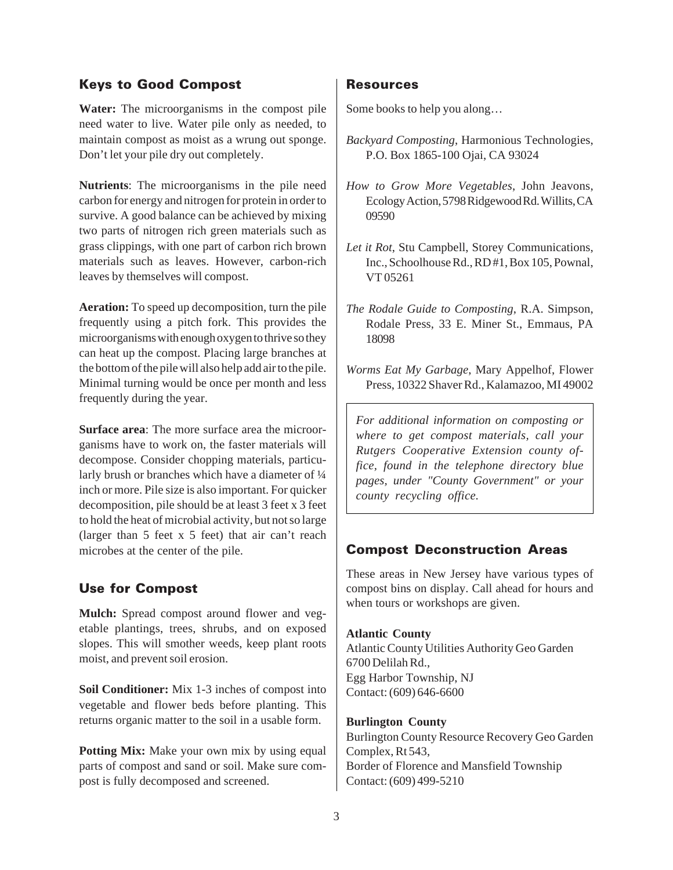### Keys to Good Compost

**Water:** The microorganisms in the compost pile need water to live. Water pile only as needed, to maintain compost as moist as a wrung out sponge. Don't let your pile dry out completely.

**Nutrients**: The microorganisms in the pile need carbon for energy and nitrogen for protein in order to survive. A good balance can be achieved by mixing two parts of nitrogen rich green materials such as grass clippings, with one part of carbon rich brown materials such as leaves. However, carbon-rich leaves by themselves will compost.

**Aeration:** To speed up decomposition, turn the pile frequently using a pitch fork. This provides the microorganisms with enough oxygen to thrive so they can heat up the compost. Placing large branches at the bottom of the pile will also help add air to the pile. Minimal turning would be once per month and less frequently during the year.

**Surface area**: The more surface area the microorganisms have to work on, the faster materials will decompose. Consider chopping materials, particularly brush or branches which have a diameter of  $\frac{1}{4}$ inch or more. Pile size is also important. For quicker decomposition, pile should be at least 3 feet x 3 feet to hold the heat of microbial activity, but not so large (larger than 5 feet x 5 feet) that air can't reach microbes at the center of the pile.

#### Use for Compost

**Mulch:** Spread compost around flower and vegetable plantings, trees, shrubs, and on exposed slopes. This will smother weeds, keep plant roots moist, and prevent soil erosion.

**Soil Conditioner:** Mix 1-3 inches of compost into vegetable and flower beds before planting. This returns organic matter to the soil in a usable form.

**Potting Mix:** Make your own mix by using equal parts of compost and sand or soil. Make sure compost is fully decomposed and screened.

#### Resources

Some books to help you along…

- *Backyard Composting*, Harmonious Technologies, P.O. Box 1865-100 Ojai, CA 93024
- *How to Grow More Vegetables*, John Jeavons, Ecology Action, 5798 Ridgewood Rd. Willits, CA 09590
- *Let it Rot*, Stu Campbell, Storey Communications, Inc., Schoolhouse Rd., RD #1, Box 105, Pownal, VT 05261
- *The Rodale Guide to Composting*, R.A. Simpson, Rodale Press, 33 E. Miner St., Emmaus, PA 18098
- *Worms Eat My Garbage*, Mary Appelhof, Flower Press, 10322 Shaver Rd., Kalamazoo, MI 49002

*For additional information on composting or where to get compost materials, call your Rutgers Cooperative Extension county office, found in the telephone directory blue pages, under "County Government" or your county recycling office.*

#### Compost Deconstruction Areas

These areas in New Jersey have various types of compost bins on display. Call ahead for hours and when tours or workshops are given.

#### **Atlantic County**

Atlantic County Utilities Authority Geo Garden 6700 Delilah Rd., Egg Harbor Township, NJ Contact: (609) 646-6600

#### **Burlington County**

Burlington County Resource Recovery Geo Garden Complex, Rt 543, Border of Florence and Mansfield Township Contact: (609) 499-5210